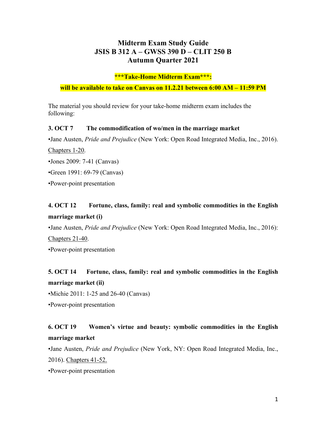#### **Midterm Exam Study Guide JSIS B 312 A – GWSS 390 D – CLIT 250 B Autumn Quarter 2021**

#### **\*\*\*Take-Home Midterm Exam\*\*\*:**

**will be available to take on Canvas on 11.2.21 between 6:00 AM – 11:59 PM**

The material you should review for your take-home midterm exam includes the following:

#### **3. OCT 7 The commodification of wo/men in the marriage market**

•Jane Austen, *Pride and Prejudice* (New York: Open Road Integrated Media, Inc., 2016).

Chapters 1-20.

- •Jones 2009: 7-41 (Canvas)
- •Green 1991: 69-79 (Canvas)
- •Power-point presentation

### **4. OCT 12 Fortune, class, family: real and symbolic commodities in the English marriage market (i)**

•Jane Austen, *Pride and Prejudice* (New York: Open Road Integrated Media, Inc., 2016): Chapters 21-40.

•Power-point presentation

### **5. OCT 14 Fortune, class, family: real and symbolic commodities in the English marriage market (ii)**

•Michie 2011: 1-25 and 26-40 (Canvas)

•Power-point presentation

# **6. OCT 19 Women's virtue and beauty: symbolic commodities in the English marriage market**

•Jane Austen, *Pride and Prejudice* (New York, NY: Open Road Integrated Media, Inc., 2016). Chapters 41-52.

•Power-point presentation